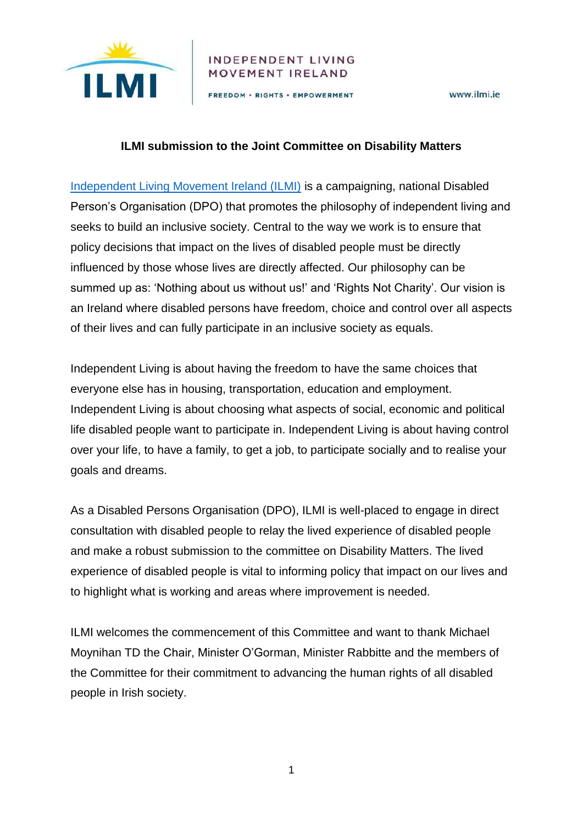

### **INDEPENDENT LIVING** MOVEMENT IRELAND

FREEDOM · RIGHTS · EMPOWERMENT

www.ilmi.ie

### **ILMI submission to the Joint Committee on Disability Matters**

[Independent Living Movement Ireland \(ILMI\)](https://ilmi.ie/) is a campaigning, national Disabled Person's Organisation (DPO) that promotes the philosophy of independent living and seeks to build an inclusive society. Central to the way we work is to ensure that policy decisions that impact on the lives of disabled people must be directly influenced by those whose lives are directly affected. Our philosophy can be summed up as: 'Nothing about us without us!' and 'Rights Not Charity'. Our vision is an Ireland where disabled persons have freedom, choice and control over all aspects of their lives and can fully participate in an inclusive society as equals.

Independent Living is about having the freedom to have the same choices that everyone else has in housing, transportation, education and employment. Independent Living is about choosing what aspects of social, economic and political life disabled people want to participate in. Independent Living is about having control over your life, to have a family, to get a job, to participate socially and to realise your goals and dreams.

As a Disabled Persons Organisation (DPO), ILMI is well-placed to engage in direct consultation with disabled people to relay the lived experience of disabled people and make a robust submission to the committee on Disability Matters. The lived experience of disabled people is vital to informing policy that impact on our lives and to highlight what is working and areas where improvement is needed.

ILMI welcomes the commencement of this Committee and want to thank Michael Moynihan TD the Chair, Minister O'Gorman, Minister Rabbitte and the members of the Committee for their commitment to advancing the human rights of all disabled people in Irish society.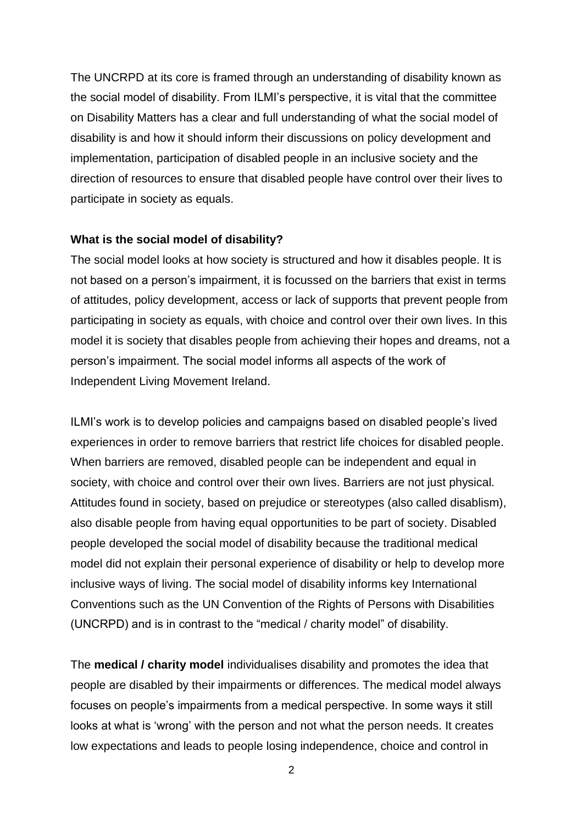The UNCRPD at its core is framed through an understanding of disability known as the social model of disability. From ILMI's perspective, it is vital that the committee on Disability Matters has a clear and full understanding of what the social model of disability is and how it should inform their discussions on policy development and implementation, participation of disabled people in an inclusive society and the direction of resources to ensure that disabled people have control over their lives to participate in society as equals.

#### **What is the social model of disability?**

The social model looks at how society is structured and how it disables people. It is not based on a person's impairment, it is focussed on the barriers that exist in terms of attitudes, policy development, access or lack of supports that prevent people from participating in society as equals, with choice and control over their own lives. In this model it is society that disables people from achieving their hopes and dreams, not a person's impairment. The social model informs all aspects of the work of Independent Living Movement Ireland.

ILMI's work is to develop policies and campaigns based on disabled people's lived experiences in order to remove barriers that restrict life choices for disabled people. When barriers are removed, disabled people can be independent and equal in society, with choice and control over their own lives. Barriers are not just physical. Attitudes found in society, based on prejudice or stereotypes (also called disablism), also disable people from having equal opportunities to be part of society. Disabled people developed the social model of disability because the traditional medical model did not explain their personal experience of disability or help to develop more inclusive ways of living. The social model of disability informs key International Conventions such as the UN Convention of the Rights of Persons with Disabilities (UNCRPD) and is in contrast to the "medical / charity model" of disability.

The **medical / charity model** individualises disability and promotes the idea that people are disabled by their impairments or differences. The medical model always focuses on people's impairments from a medical perspective. In some ways it still looks at what is 'wrong' with the person and not what the person needs. It creates low expectations and leads to people losing independence, choice and control in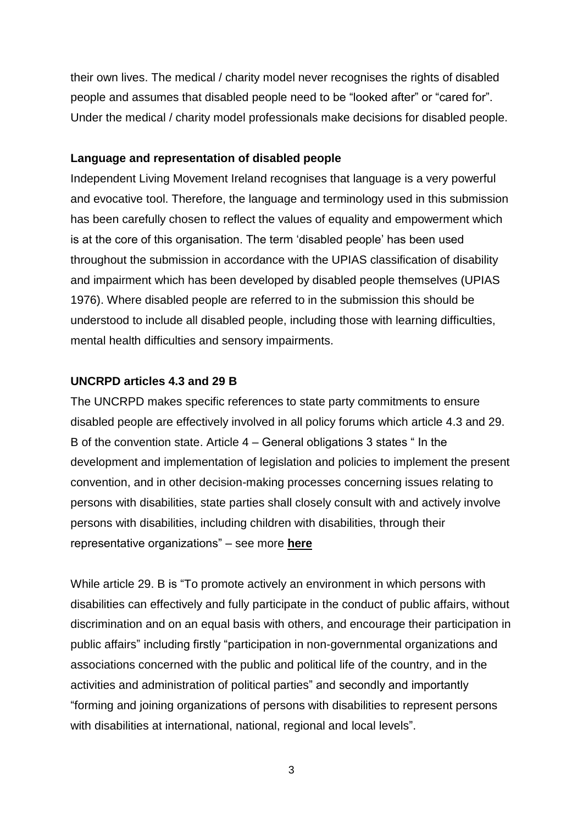their own lives. The medical / charity model never recognises the rights of disabled people and assumes that disabled people need to be "looked after" or "cared for". Under the medical / charity model professionals make decisions for disabled people.

#### **Language and representation of disabled people**

Independent Living Movement Ireland recognises that language is a very powerful and evocative tool. Therefore, the language and terminology used in this submission has been carefully chosen to reflect the values of equality and empowerment which is at the core of this organisation. The term 'disabled people' has been used throughout the submission in accordance with the UPIAS classification of disability and impairment which has been developed by disabled people themselves (UPIAS 1976). Where disabled people are referred to in the submission this should be understood to include all disabled people, including those with learning difficulties, mental health difficulties and sensory impairments.

#### **UNCRPD articles 4.3 and 29 B**

The UNCRPD makes specific references to state party commitments to ensure disabled people are effectively involved in all policy forums which article 4.3 and 29. B of the convention state. Article 4 – General obligations 3 states " In the development and implementation of legislation and policies to implement the present convention, and in other decision-making processes concerning issues relating to persons with disabilities, state parties shall closely consult with and actively involve persons with disabilities, including children with disabilities, through their representative organizations" – see more **[here](https://tbinternet.ohchr.org/_layouts/15/treatybodyexternal/Download.aspx?symbolno=CRPD/C/GC/7&Lang=en)**

While article 29. B is "To promote actively an environment in which persons with disabilities can effectively and fully participate in the conduct of public affairs, without discrimination and on an equal basis with others, and encourage their participation in public affairs" including firstly "participation in non-governmental organizations and associations concerned with the public and political life of the country, and in the activities and administration of political parties" and secondly and importantly "forming and joining organizations of persons with disabilities to represent persons with disabilities at international, national, regional and local levels".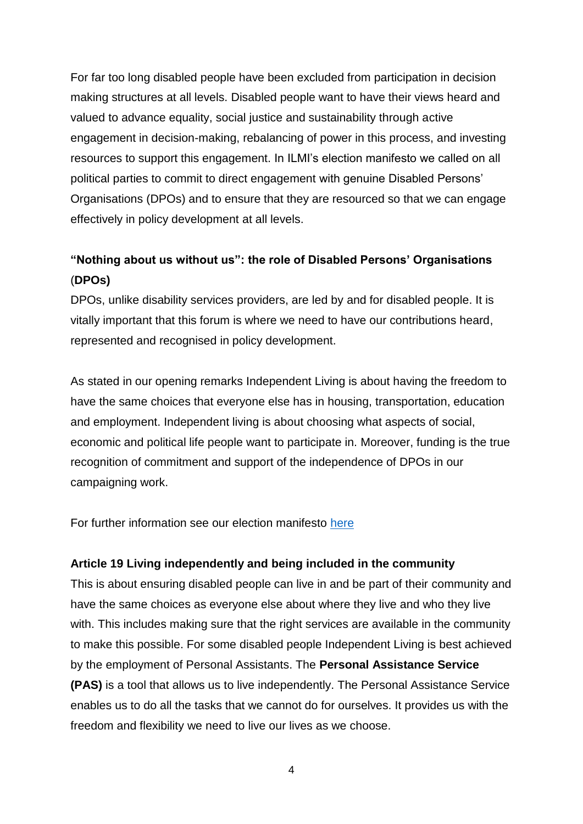For far too long disabled people have been excluded from participation in decision making structures at all levels. Disabled people want to have their views heard and valued to advance equality, social justice and sustainability through active engagement in decision-making, rebalancing of power in this process, and investing resources to support this engagement. In ILMI's election manifesto we called on all political parties to commit to direct engagement with genuine Disabled Persons' Organisations (DPOs) and to ensure that they are resourced so that we can engage effectively in policy development at all levels.

# **"Nothing about us without us": the role of Disabled Persons' Organisations** (**DPOs)**

DPOs, unlike disability services providers, are led by and for disabled people. It is vitally important that this forum is where we need to have our contributions heard, represented and recognised in policy development.

As stated in our opening remarks Independent Living is about having the freedom to have the same choices that everyone else has in housing, transportation, education and employment. Independent living is about choosing what aspects of social, economic and political life people want to participate in. Moreover, funding is the true recognition of commitment and support of the independence of DPOs in our campaigning work.

For further information see our election manifesto [here](https://ilmi.ie/wp-content/uploads/2020/01/ILMI_Election_Manifesto_2020.pdf)

### **Article 19 Living independently and being included in the community**

This is about ensuring disabled people can live in and be part of their community and have the same choices as everyone else about where they live and who they live with. This includes making sure that the right services are available in the community to make this possible. For some disabled people Independent Living is best achieved by the employment of Personal Assistants. The **Personal Assistance Service (PAS)** is a tool that allows us to live independently. The Personal Assistance Service enables us to do all the tasks that we cannot do for ourselves. It provides us with the freedom and flexibility we need to live our lives as we choose.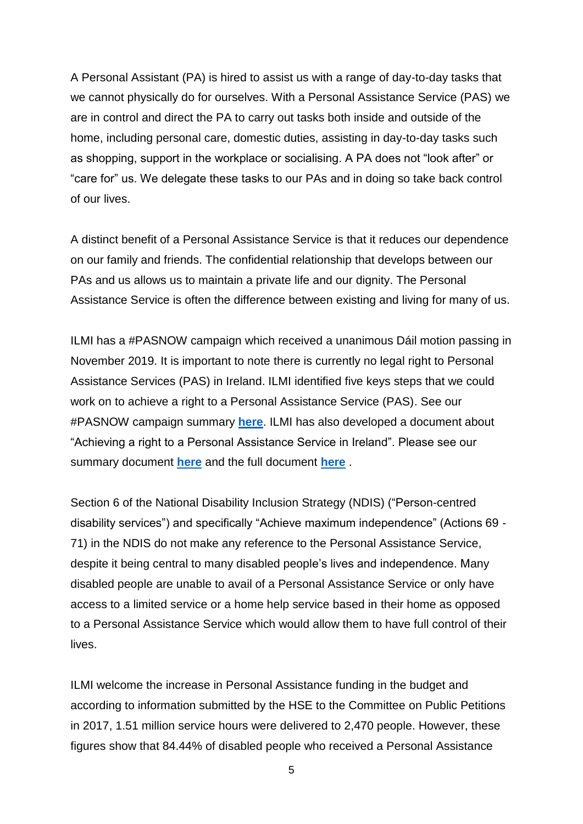A Personal Assistant (PA) is hired to assist us with a range of day-to-day tasks that we cannot physically do for ourselves. With a Personal Assistance Service (PAS) we are in control and direct the PA to carry out tasks both inside and outside of the home, including personal care, domestic duties, assisting in day-to-day tasks such as shopping, support in the workplace or socialising. A PA does not "look after" or "care for" us. We delegate these tasks to our PAs and in doing so take back control of our lives.

A distinct benefit of a Personal Assistance Service is that it reduces our dependence on our family and friends. The confidential relationship that develops between our PAs and us allows us to maintain a private life and our dignity. The Personal Assistance Service is often the difference between existing and living for many of us.

ILMI has a #PASNOW campaign which received a unanimous Dáil motion passing in November 2019. It is important to note there is currently no legal right to Personal Assistance Services (PAS) in Ireland. ILMI identified five keys steps that we could work on to achieve a right to a Personal Assistance Service (PAS). See our #PASNOW campaign summary **[here](https://ilmi.ie/wp-content/uploads/2019/12/ILMI-Personal-Assistance-Services-Campaign.pdf)**. ILMI has also developed a document about "Achieving a right to a Personal Assistance Service in Ireland". Please see our summary document **[here](https://ilmi.ie/wp-content/uploads/2019/12/Achieving-a-right-to-Personal-Assistance-Summary.pdf)** and the full document **[here](https://ilmi.ie/wp-content/uploads/2019/05/Achieving-a-right-to-personal-assistance-in-Ireland.pdf)** .

Section 6 of the National Disability Inclusion Strategy (NDIS) ("Person-centred disability services") and specifically "Achieve maximum independence" (Actions 69 - 71) in the NDIS do not make any reference to the Personal Assistance Service, despite it being central to many disabled people's lives and independence. Many disabled people are unable to avail of a Personal Assistance Service or only have access to a limited service or a home help service based in their home as opposed to a Personal Assistance Service which would allow them to have full control of their lives.

ILMI welcome the increase in Personal Assistance funding in the budget and according to information submitted by the HSE to the Committee on Public Petitions in 2017, 1.51 million service hours were delivered to 2,470 people. However, these figures show that 84.44% of disabled people who received a Personal Assistance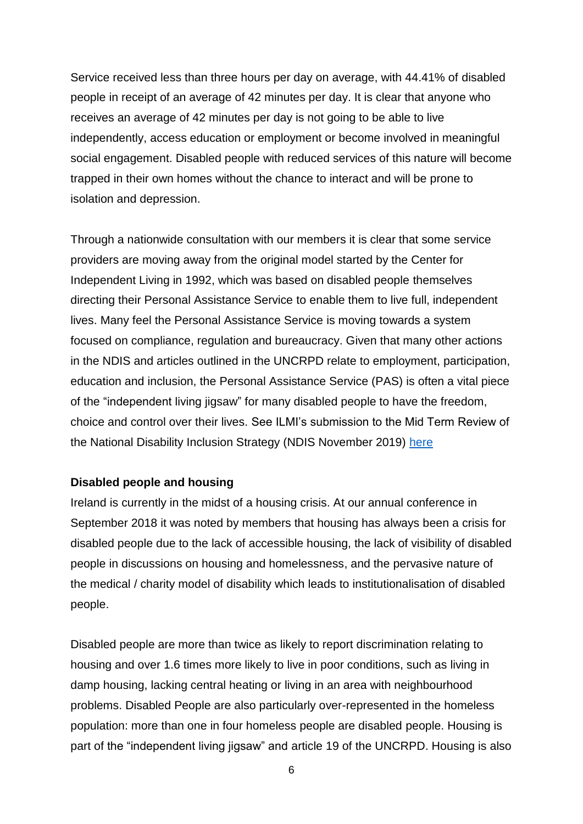Service received less than three hours per day on average, with 44.41% of disabled people in receipt of an average of 42 minutes per day. It is clear that anyone who receives an average of 42 minutes per day is not going to be able to live independently, access education or employment or become involved in meaningful social engagement. Disabled people with reduced services of this nature will become trapped in their own homes without the chance to interact and will be prone to isolation and depression.

Through a nationwide consultation with our members it is clear that some service providers are moving away from the original model started by the Center for Independent Living in 1992, which was based on disabled people themselves directing their Personal Assistance Service to enable them to live full, independent lives. Many feel the Personal Assistance Service is moving towards a system focused on compliance, regulation and bureaucracy. Given that many other actions in the NDIS and articles outlined in the UNCRPD relate to employment, participation, education and inclusion, the Personal Assistance Service (PAS) is often a vital piece of the "independent living jigsaw" for many disabled people to have the freedom, choice and control over their lives. See ILMI's submission to the Mid Term Review of the National Disability Inclusion Strategy (NDIS November 2019) [here](https://ilmi.ie/wp-content/uploads/2019/12/ILMI-Submission-to-NDIS-November-2019.pdf)

### **Disabled people and housing**

Ireland is currently in the midst of a housing crisis. At our annual conference in September 2018 it was noted by members that housing has always been a crisis for disabled people due to the lack of accessible housing, the lack of visibility of disabled people in discussions on housing and homelessness, and the pervasive nature of the medical / charity model of disability which leads to institutionalisation of disabled people.

Disabled people are more than twice as likely to report discrimination relating to housing and over 1.6 times more likely to live in poor conditions, such as living in damp housing, lacking central heating or living in an area with neighbourhood problems. Disabled People are also particularly over-represented in the homeless population: more than one in four homeless people are disabled people. Housing is part of the "independent living jigsaw" and article 19 of the UNCRPD. Housing is also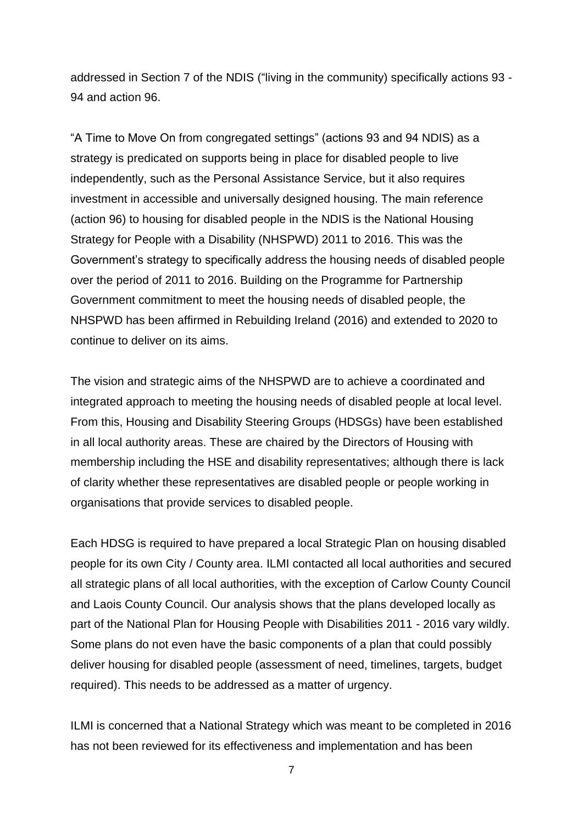addressed in Section 7 of the NDIS ("living in the community) specifically actions 93 - 94 and action 96.

"A Time to Move On from congregated settings" (actions 93 and 94 NDIS) as a strategy is predicated on supports being in place for disabled people to live independently, such as the Personal Assistance Service, but it also requires investment in accessible and universally designed housing. The main reference (action 96) to housing for disabled people in the NDIS is the National Housing Strategy for People with a Disability (NHSPWD) 2011 to 2016. This was the Government's strategy to specifically address the housing needs of disabled people over the period of 2011 to 2016. Building on the Programme for Partnership Government commitment to meet the housing needs of disabled people, the NHSPWD has been affirmed in Rebuilding Ireland (2016) and extended to 2020 to continue to deliver on its aims.

The vision and strategic aims of the NHSPWD are to achieve a coordinated and integrated approach to meeting the housing needs of disabled people at local level. From this, Housing and Disability Steering Groups (HDSGs) have been established in all local authority areas. These are chaired by the Directors of Housing with membership including the HSE and disability representatives; although there is lack of clarity whether these representatives are disabled people or people working in organisations that provide services to disabled people.

Each HDSG is required to have prepared a local Strategic Plan on housing disabled people for its own City / County area. ILMI contacted all local authorities and secured all strategic plans of all local authorities, with the exception of Carlow County Council and Laois County Council. Our analysis shows that the plans developed locally as part of the National Plan for Housing People with Disabilities 2011 - 2016 vary wildly. Some plans do not even have the basic components of a plan that could possibly deliver housing for disabled people (assessment of need, timelines, targets, budget required). This needs to be addressed as a matter of urgency.

ILMI is concerned that a National Strategy which was meant to be completed in 2016 has not been reviewed for its effectiveness and implementation and has been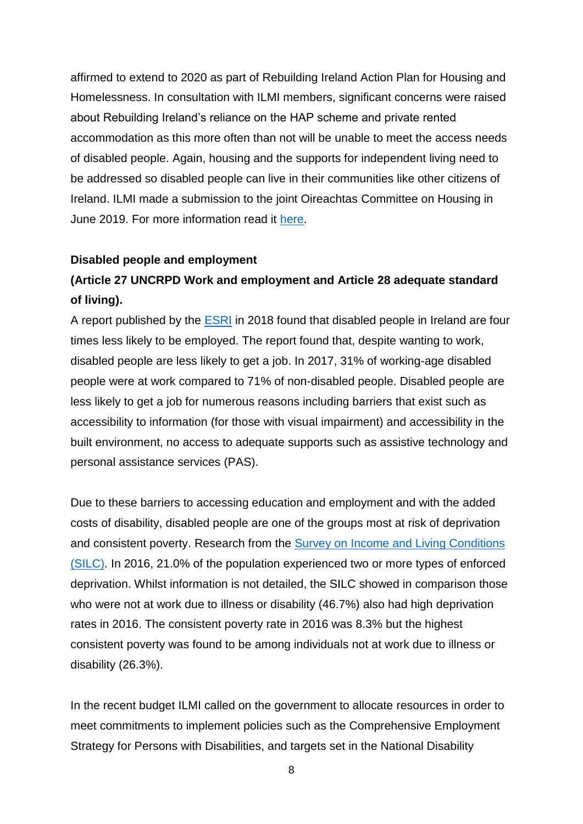affirmed to extend to 2020 as part of Rebuilding Ireland Action Plan for Housing and Homelessness. In consultation with ILMI members, significant concerns were raised about Rebuilding Ireland's reliance on the HAP scheme and private rented accommodation as this more often than not will be unable to meet the access needs of disabled people. Again, housing and the supports for independent living need to be addressed so disabled people can live in their communities like other citizens of Ireland. ILMI made a submission to the joint Oireachtas Committee on Housing in June 2019. For more information read it [here.](https://ilmi.ie/wp-content/uploads/2019/07/ILMI-Submission-to-the-Joint-Oireachtas-Commitee-on-Housing-June-2019.pdf)

#### **Disabled people and employment**

## **(Article 27 UNCRPD Work and employment and Article 28 adequate standard of living).**

A report published by the [ESRI](http://www.esri.ie/pubs/BKMNEXT345.pdf) in 2018 found that disabled people in Ireland are four times less likely to be employed. The report found that, despite wanting to work, disabled people are less likely to get a job. In 2017, 31% of working-age disabled people were at work compared to 71% of non-disabled people. Disabled people are less likely to get a job for numerous reasons including barriers that exist such as accessibility to information (for those with visual impairment) and accessibility in the built environment, no access to adequate supports such as assistive technology and personal assistance services (PAS).

Due to these barriers to accessing education and employment and with the added costs of disability, disabled people are one of the groups most at risk of deprivation and consistent poverty. Research from the **Survey on Income and Living Conditions** [\(SILC\).](https://www.cso.ie/en/releasesandpublications/er/silc/surveyonincomeandlivingconditions2016/) In 2016, 21.0% of the population experienced two or more types of enforced deprivation. Whilst information is not detailed, the SILC showed in comparison those who were not at work due to illness or disability (46.7%) also had high deprivation rates in 2016. The consistent poverty rate in 2016 was 8.3% but the highest consistent poverty was found to be among individuals not at work due to illness or disability (26.3%).

In the recent budget ILMI called on the government to allocate resources in order to meet commitments to implement policies such as the Comprehensive Employment Strategy for Persons with Disabilities, and targets set in the National Disability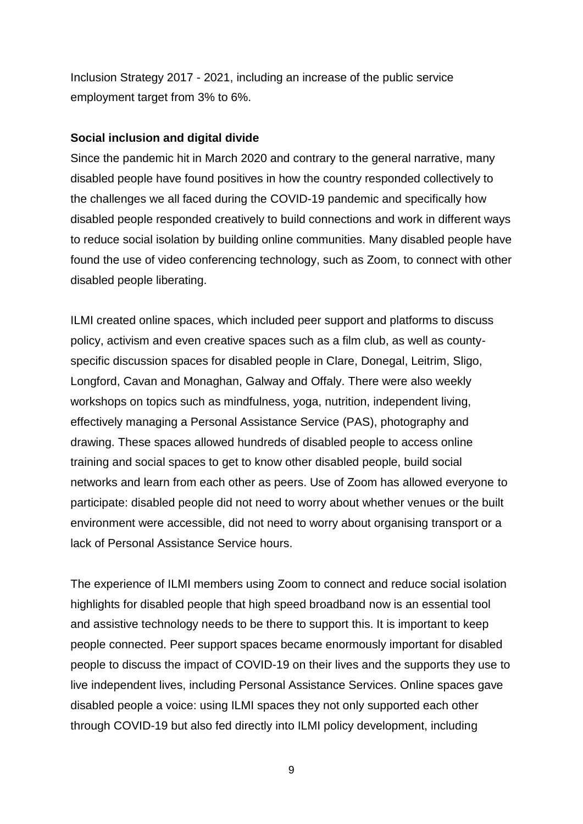Inclusion Strategy 2017 - 2021, including an increase of the public service employment target from 3% to 6%.

#### **Social inclusion and digital divide**

Since the pandemic hit in March 2020 and contrary to the general narrative, many disabled people have found positives in how the country responded collectively to the challenges we all faced during the COVID-19 pandemic and specifically how disabled people responded creatively to build connections and work in different ways to reduce social isolation by building online communities. Many disabled people have found the use of video conferencing technology, such as Zoom, to connect with other disabled people liberating.

ILMI created online spaces, which included peer support and platforms to discuss policy, activism and even creative spaces such as a film club, as well as countyspecific discussion spaces for disabled people in Clare, Donegal, Leitrim, Sligo, Longford, Cavan and Monaghan, Galway and Offaly. There were also weekly workshops on topics such as mindfulness, yoga, nutrition, independent living, effectively managing a Personal Assistance Service (PAS), photography and drawing. These spaces allowed hundreds of disabled people to access online training and social spaces to get to know other disabled people, build social networks and learn from each other as peers. Use of Zoom has allowed everyone to participate: disabled people did not need to worry about whether venues or the built environment were accessible, did not need to worry about organising transport or a lack of Personal Assistance Service hours.

The experience of ILMI members using Zoom to connect and reduce social isolation highlights for disabled people that high speed broadband now is an essential tool and assistive technology needs to be there to support this. It is important to keep people connected. Peer support spaces became enormously important for disabled people to discuss the impact of COVID-19 on their lives and the supports they use to live independent lives, including Personal Assistance Services. Online spaces gave disabled people a voice: using ILMI spaces they not only supported each other through COVID-19 but also fed directly into ILMI policy development, including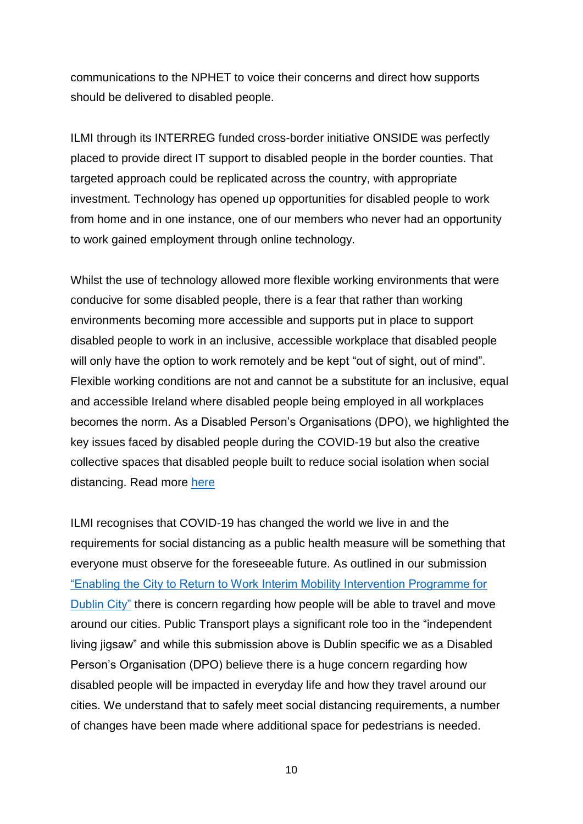communications to the NPHET to voice their concerns and direct how supports should be delivered to disabled people.

ILMI through its INTERREG funded cross-border initiative ONSIDE was perfectly placed to provide direct IT support to disabled people in the border counties. That targeted approach could be replicated across the country, with appropriate investment. Technology has opened up opportunities for disabled people to work from home and in one instance, one of our members who never had an opportunity to work gained employment through online technology.

Whilst the use of technology allowed more flexible working environments that were conducive for some disabled people, there is a fear that rather than working environments becoming more accessible and supports put in place to support disabled people to work in an inclusive, accessible workplace that disabled people will only have the option to work remotely and be kept "out of sight, out of mind". Flexible working conditions are not and cannot be a substitute for an inclusive, equal and accessible Ireland where disabled people being employed in all workplaces becomes the norm. As a Disabled Person's Organisations (DPO), we highlighted the key issues faced by disabled people during the COVID-19 but also the creative collective spaces that disabled people built to reduce social isolation when social distancing. Read more [here](https://ilmi.ie/wp-content/uploads/2020/06/ILMI-submission-to-the-Committee-on-Covid19.pdf)

ILMI recognises that COVID-19 has changed the world we live in and the requirements for social distancing as a public health measure will be something that everyone must observe for the foreseeable future. As outlined in our submission ["Enabling the City to Return to Work Interim Mobility Intervention Programme for](https://ilmi.ie/wp-content/uploads/2020/06/ILMI-Submission-in-Relation-to-Enabling-Cities.pdf)  [Dublin City"](https://ilmi.ie/wp-content/uploads/2020/06/ILMI-Submission-in-Relation-to-Enabling-Cities.pdf) there is concern regarding how people will be able to travel and move around our cities. Public Transport plays a significant role too in the "independent living jigsaw" and while this submission above is Dublin specific we as a Disabled Person's Organisation (DPO) believe there is a huge concern regarding how disabled people will be impacted in everyday life and how they travel around our cities. We understand that to safely meet social distancing requirements, a number of changes have been made where additional space for pedestrians is needed.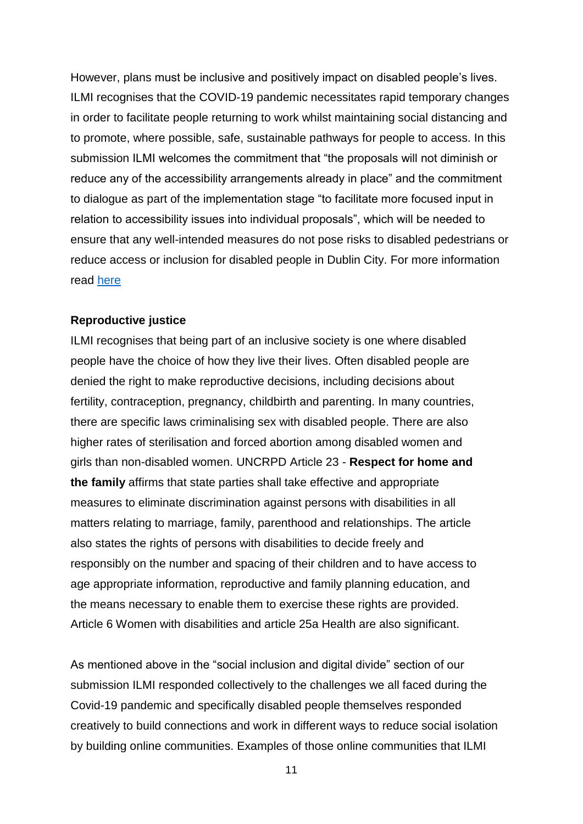However, plans must be inclusive and positively impact on disabled people's lives. ILMI recognises that the COVID-19 pandemic necessitates rapid temporary changes in order to facilitate people returning to work whilst maintaining social distancing and to promote, where possible, safe, sustainable pathways for people to access. In this submission ILMI welcomes the commitment that "the proposals will not diminish or reduce any of the accessibility arrangements already in place" and the commitment to dialogue as part of the implementation stage "to facilitate more focused input in relation to accessibility issues into individual proposals", which will be needed to ensure that any well-intended measures do not pose risks to disabled pedestrians or reduce access or inclusion for disabled people in Dublin City. For more information read [here](https://ilmi.ie/wp-content/uploads/2020/06/ILMI-Submission-in-Relation-to-Enabling-Cities.pdf)

#### **Reproductive justice**

ILMI recognises that being part of an inclusive society is one where disabled people have the choice of how they live their lives. Often disabled people are denied the right to make reproductive decisions, including decisions about fertility, contraception, pregnancy, childbirth and parenting. In many countries, there are specific laws criminalising sex with disabled people. There are also higher rates of sterilisation and forced abortion among disabled women and girls than non-disabled women. UNCRPD Article 23 - **Respect for home and the family** affirms that state parties shall take effective and appropriate measures to eliminate discrimination against persons with disabilities in all matters relating to marriage, family, parenthood and relationships. The article also states the rights of persons with disabilities to decide freely and responsibly on the number and spacing of their children and to have access to age appropriate information, reproductive and family planning education, and the means necessary to enable them to exercise these rights are provided. Article 6 Women with disabilities and article 25a Health are also significant.

As mentioned above in the "social inclusion and digital divide" section of our submission ILMI responded collectively to the challenges we all faced during the Covid-19 pandemic and specifically disabled people themselves responded creatively to build connections and work in different ways to reduce social isolation by building online communities. Examples of those online communities that ILMI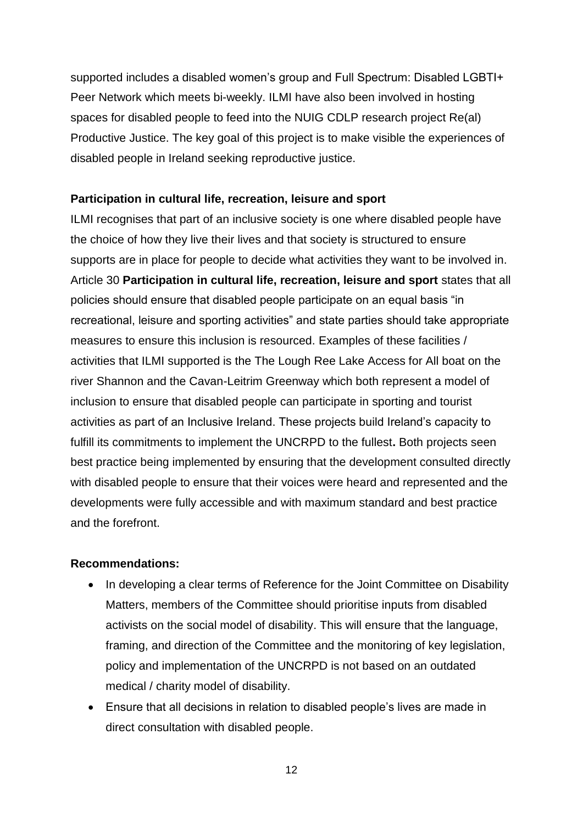supported includes a disabled women's group and Full Spectrum: Disabled LGBTI+ Peer Network which meets bi-weekly. ILMI have also been involved in hosting spaces for disabled people to feed into the NUIG CDLP research project Re(al) Productive Justice. The key goal of this project is to make visible the experiences of disabled people in Ireland seeking reproductive justice.

## **Participation in cultural life, recreation, leisure and sport**

ILMI recognises that part of an inclusive society is one where disabled people have the choice of how they live their lives and that society is structured to ensure supports are in place for people to decide what activities they want to be involved in. Article 30 **Participation in cultural life, recreation, leisure and sport** states that all policies should ensure that disabled people participate on an equal basis "in recreational, leisure and sporting activities" and state parties should take appropriate measures to ensure this inclusion is resourced. Examples of these facilities / activities that ILMI supported is the The Lough Ree Lake Access for All boat on the river Shannon and the Cavan-Leitrim Greenway which both represent a model of inclusion to ensure that disabled people can participate in sporting and tourist activities as part of an Inclusive Ireland. These projects build Ireland's capacity to fulfill its commitments to implement the UNCRPD to the fullest**.** Both projects seen best practice being implemented by ensuring that the development consulted directly with disabled people to ensure that their voices were heard and represented and the developments were fully accessible and with maximum standard and best practice and the forefront.

### **Recommendations:**

- In developing a clear terms of Reference for the Joint Committee on Disability Matters, members of the Committee should prioritise inputs from disabled activists on the social model of disability. This will ensure that the language, framing, and direction of the Committee and the monitoring of key legislation, policy and implementation of the UNCRPD is not based on an outdated medical / charity model of disability.
- Ensure that all decisions in relation to disabled people's lives are made in direct consultation with disabled people.